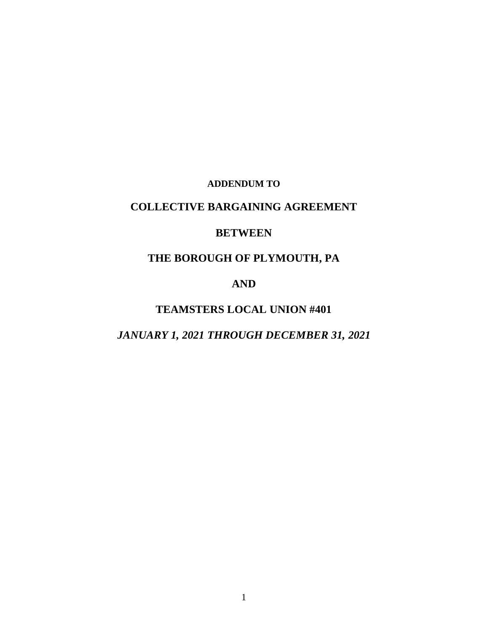### **ADDENDUM TO**

# **COLLECTIVE BARGAINING AGREEMENT**

## **BETWEEN**

# **THE BOROUGH OF PLYMOUTH, PA**

# **AND**

# **TEAMSTERS LOCAL UNION #401**

# *JANUARY 1, 2021 THROUGH DECEMBER 31, 2021*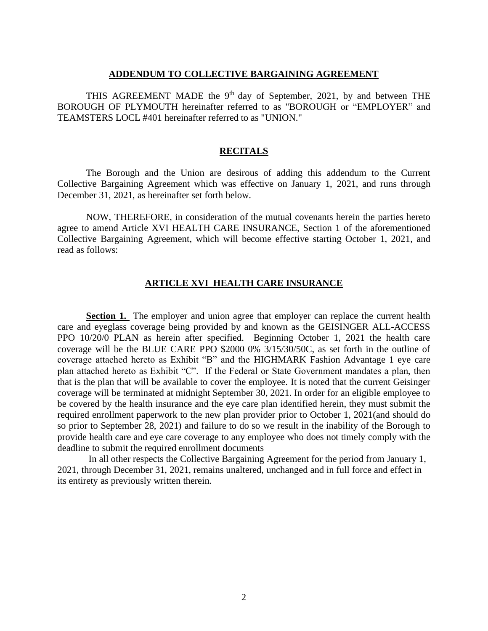#### **ADDENDUM TO COLLECTIVE BARGAINING AGREEMENT**

THIS AGREEMENT MADE the  $9<sup>th</sup>$  day of September, 2021, by and between THE BOROUGH OF PLYMOUTH hereinafter referred to as "BOROUGH or "EMPLOYER" and TEAMSTERS LOCL #401 hereinafter referred to as "UNION."

### **RECITALS**

The Borough and the Union are desirous of adding this addendum to the Current Collective Bargaining Agreement which was effective on January 1, 2021, and runs through December 31, 2021, as hereinafter set forth below.

NOW, THEREFORE, in consideration of the mutual covenants herein the parties hereto agree to amend Article XVI HEALTH CARE INSURANCE, Section 1 of the aforementioned Collective Bargaining Agreement, which will become effective starting October 1, 2021, and read as follows:

### **ARTICLE XVI HEALTH CARE INSURANCE**

**Section 1.** The employer and union agree that employer can replace the current health care and eyeglass coverage being provided by and known as the GEISINGER ALL-ACCESS PPO 10/20/0 PLAN as herein after specified. Beginning October 1, 2021 the health care coverage will be the BLUE CARE PPO \$2000 0% 3/15/30/50C, as set forth in the outline of coverage attached hereto as Exhibit "B" and the HIGHMARK Fashion Advantage 1 eye care plan attached hereto as Exhibit "C". If the Federal or State Government mandates a plan, then that is the plan that will be available to cover the employee. It is noted that the current Geisinger coverage will be terminated at midnight September 30, 2021. In order for an eligible employee to be covered by the health insurance and the eye care plan identified herein, they must submit the required enrollment paperwork to the new plan provider prior to October 1, 2021(and should do so prior to September 28, 2021) and failure to do so we result in the inability of the Borough to provide health care and eye care coverage to any employee who does not timely comply with the deadline to submit the required enrollment documents

In all other respects the Collective Bargaining Agreement for the period from January 1, 2021, through December 31, 2021, remains unaltered, unchanged and in full force and effect in its entirety as previously written therein.